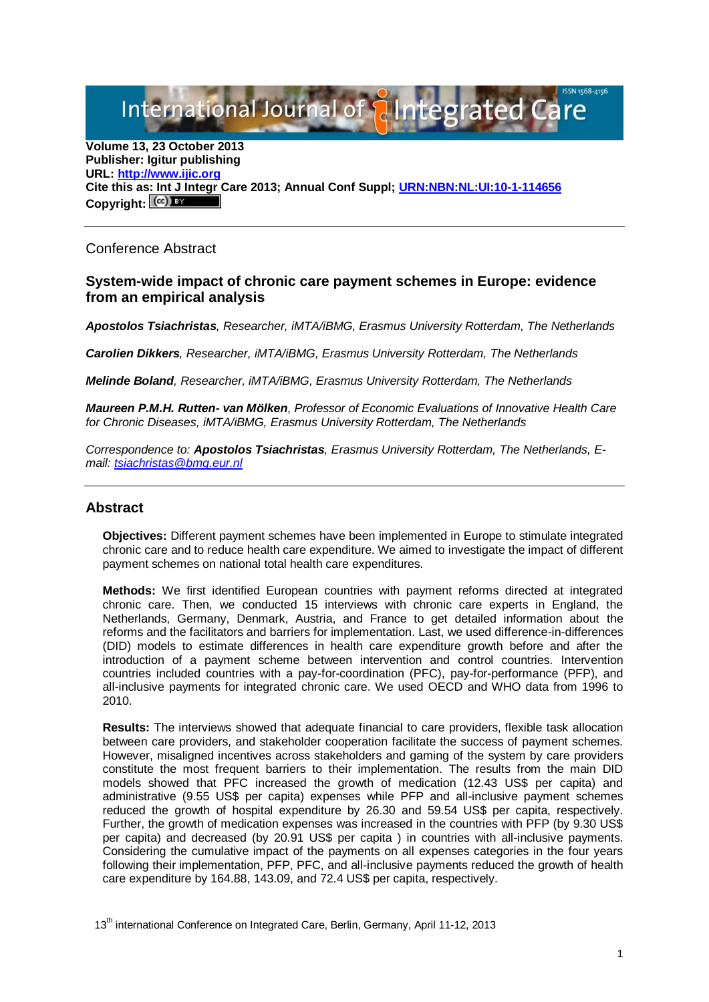International Journal of { aIntegrated

**Volume 13, 23 October 2013 Publisher: Igitur publishing URL[: http://www.ijic.org](http://www.ijic.org/) Cite this as: Int J Integr Care 2013; Annual Conf Suppl; [URN:NBN:NL:UI:10-1-114656](http://persistent-identifier.nl/?identifier=URN:NBN:NL:UI:10-1-114656)** Copyright:  $(cc)$  BY

## Conference Abstract

## **System-wide impact of chronic care payment schemes in Europe: evidence from an empirical analysis**

*Apostolos Tsiachristas, Researcher, iMTA/iBMG, Erasmus University Rotterdam, The Netherlands*

*Carolien Dikkers, Researcher, iMTA/iBMG, Erasmus University Rotterdam, The Netherlands*

*Melinde Boland, Researcher, iMTA/iBMG, Erasmus University Rotterdam, The Netherlands*

*Maureen P.M.H. Rutten- van Mölken, Professor of Economic Evaluations of Innovative Health Care for Chronic Diseases, iMTA/iBMG, Erasmus University Rotterdam, The Netherlands*

*Correspondence to: Apostolos Tsiachristas, Erasmus University Rotterdam, The Netherlands, Email: [tsiachristas@bmg.eur.nl](mailto:tsiachristas@bmg.eur.nl)*

## **Abstract**

**Objectives:** Different payment schemes have been implemented in Europe to stimulate integrated chronic care and to reduce health care expenditure. We aimed to investigate the impact of different payment schemes on national total health care expenditures.

**Methods:** We first identified European countries with payment reforms directed at integrated chronic care. Then, we conducted 15 interviews with chronic care experts in England, the Netherlands, Germany, Denmark, Austria, and France to get detailed information about the reforms and the facilitators and barriers for implementation. Last, we used difference-in-differences (DID) models to estimate differences in health care expenditure growth before and after the introduction of a payment scheme between intervention and control countries. Intervention countries included countries with a pay-for-coordination (PFC), pay-for-performance (PFP), and all-inclusive payments for integrated chronic care. We used OECD and WHO data from 1996 to 2010.

**Results:** The interviews showed that adequate financial to care providers, flexible task allocation between care providers, and stakeholder cooperation facilitate the success of payment schemes. However, misaligned incentives across stakeholders and gaming of the system by care providers constitute the most frequent barriers to their implementation. The results from the main DID models showed that PFC increased the growth of medication (12.43 US\$ per capita) and administrative (9.55 US\$ per capita) expenses while PFP and all-inclusive payment schemes reduced the growth of hospital expenditure by 26.30 and 59.54 US\$ per capita, respectively. Further, the growth of medication expenses was increased in the countries with PFP (by 9.30 US\$ per capita) and decreased (by 20.91 US\$ per capita ) in countries with all-inclusive payments. Considering the cumulative impact of the payments on all expenses categories in the four years following their implementation, PFP, PFC, and all-inclusive payments reduced the growth of health care expenditure by 164.88, 143.09, and 72.4 US\$ per capita, respectively.